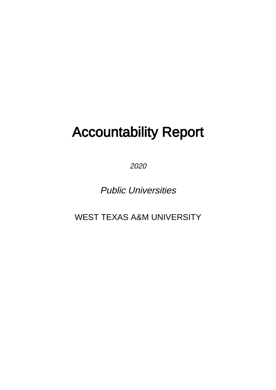# Accountability Report

2020

Public Universities

WEST TEXAS A&M UNIVERSITY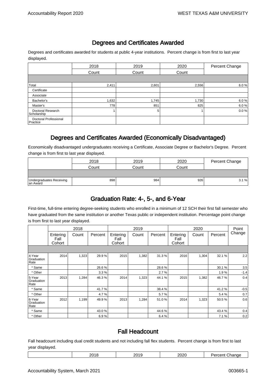#### Degrees and Certificates Awarded

Degrees and certificates awarded for students at public 4-year institutions. Percent change is from first to last year displayed.

|                                   | 2018  | 2019  | 2020  | Percent Change |
|-----------------------------------|-------|-------|-------|----------------|
|                                   | Count | Count | Count |                |
|                                   |       |       |       |                |
| Total                             | 2,411 | 2,601 | 2,556 | 6.0%           |
| Certificate                       |       |       |       |                |
| Associate                         |       |       |       |                |
| Bachelor's                        | 1,632 | 1,745 | 1,730 | 6.0%           |
| Master's                          | 778   | 851   | 825   | 6.0%           |
| Doctoral Research<br>Scholarship  |       | 5     |       | 0.0%           |
| Doctoral Professional<br>Practice |       |       |       |                |

#### Degrees and Certificates Awarded (Economically Disadvantaged)

Economically disadvantaged undergraduates receiving a Certificate, Associate Degree or Bachelor's Degree. Percent change is from first to last year displayed.

|                                       | 2018  | 2019  | 2020  | Percent Change |
|---------------------------------------|-------|-------|-------|----------------|
|                                       | Count | Count | Count |                |
|                                       |       |       |       |                |
| Undergraduates Receiving<br>Ian Award | 898   | 984   | 926   | 3.1%           |

#### Graduation Rate: 4-, 5-, and 6-Year

First-time, full-time entering degree-seeking students who enrolled in a minimum of 12 SCH their first fall semester who have graduated from the same institution or another Texas public or independent institution. Percentage point change is from first to last year displayed.

|                              |                            | 2018  |         |                            | 2019  |         |                            | 2020  |         | Point  |
|------------------------------|----------------------------|-------|---------|----------------------------|-------|---------|----------------------------|-------|---------|--------|
|                              | Entering<br>Fall<br>Cohort | Count | Percent | Entering<br>Fall<br>Cohort | Count | Percent | Entering<br>Fall<br>Cohort | Count | Percent | Change |
|                              |                            |       |         |                            |       |         |                            |       |         |        |
| 4-Year<br>Graduation<br>Rate | 2014                       | 1,323 | 29.9%   | 2015                       | 1,382 | 31.3%   | 2016                       | 1,304 | 32.1%   | 2.2    |
| * Same                       |                            |       | 26.6%   |                            |       | 28.6%   |                            |       | 30.1%   | 3.5    |
| * Other                      |                            |       | 3.3%    |                            |       | 2.7%    |                            |       | 1.9%    | $-1.4$ |
| 5-Year<br>Graduation<br>Rate | 2013                       | 1,284 | 46.3%   | 2014                       | 1,323 | 44.1%   | 2015                       | 1,382 | 46.7%   | 0.4    |
| * Same                       |                            |       | 41.7%   |                            |       | 38.4%   |                            |       | 41.2%   | $-0.5$ |
| * Other                      |                            |       | 4.7%    |                            |       | 5.7%    |                            |       | 5.4%    | 0.7    |
| 6-Year<br>Graduation<br>Rate | 2012                       | 1,199 | 49.9%   | 2013                       | 1,284 | 51.0%   | 2014                       | 1,323 | 50.5%   | 0.6    |
| * Same                       |                            |       | 43.0%   |                            |       | 44.6%   |                            |       | 43.4%   | 0.4    |
| * Other                      |                            |       | 6.9%    |                            |       | 6.4%    |                            |       | 7.1%    | 0.2    |

#### Fall Headcount

Fall headcount including dual credit students and not including fall flex students. Percent change is from first to last year displayed.

| .u<br>. .<br>$-o$<br>. .<br>$ -$<br>____<br>$\sim$<br>__ |  | . | ^′ | 2020 | - - - |
|----------------------------------------------------------|--|---|----|------|-------|
|----------------------------------------------------------|--|---|----|------|-------|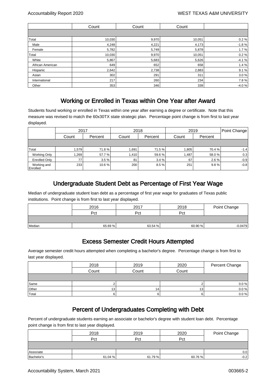|                  | Count  | Count | Count  |         |
|------------------|--------|-------|--------|---------|
|                  |        |       |        |         |
| Total            | 10,030 | 9,970 | 10,051 | 0.2%    |
| Male             | 4,248  | 4,221 | 4,173  | $-1.8%$ |
| Female           | 5,782  | 5,749 | 5,878  | 1.7%    |
| Total            | 10,030 | 9,970 | 10,051 | 0.2%    |
| White            | 5,867  | 5,683 | 5,626  | $-4.1%$ |
| African American | 649    | 652   | 658    | 1.4%    |
| Hispanic         | 2,642  | 2,738 | 2,883  | 9.1%    |
| Asian            | 302    | 291   | 311    | 3.0%    |
| International    | 217    | 260   | 234    | 7.8%    |
| Other            | 353    | 346   | 339    | $-4.0%$ |

#### Working or Enrolled in Texas within One Year after Award

Students found working or enrolled in Texas within one year after earning a degree or certificate. Note that this measure was revised to match the 60x30TX state strategic plan. Percentage point change is from first to last year displayed.

|                         | 2017  |         |        | 2018    |       | 2019    | Point Change |
|-------------------------|-------|---------|--------|---------|-------|---------|--------------|
|                         | Count | Percent | Count  | Percent | Count | Percent |              |
|                         |       |         |        |         |       |         |              |
| Total                   | 1.579 | 71.8%   | 1,691  | 71.5 %  | 1,805 | 70.4 %  | $-1.4$       |
| <b>Working Only</b>     | 1,269 | 57.7%   | ا 410. | 59.6 %  | 1,487 | 58.0%   | 0.3          |
| <b>Enrolled Only</b>    | 77    | 3.5%    | 81     | 3.4%    | 67    | 2.6%    | $-0.9$       |
| Working and<br>Enrolled | 233   | 10.6%   | 200    | 8.5%    | 251   | 9.8%    | $-0.8$       |

## Undergraduate Student Debt as Percentage of First Year Wage

Median of undergraduate student loan debt as a percentage of first year wage for graduates of Texas public institutions. Point change is from first to last year displayed.

|        | 2016   | 2017    | 2018    | Point Change |
|--------|--------|---------|---------|--------------|
|        | Pct    | Pct     | Pct     |              |
|        |        |         |         |              |
| Median | 65.69% | 63.54 % | 60.90 % | $-0.0479$    |

#### Excess Semester Credit Hours Attempted

Average semester credit hours attempted when completing a bachelor's degree. Percentage change is from first to last year displayed.

|       | 2018  | 2019  | 2020  | Percent Change |
|-------|-------|-------|-------|----------------|
|       | Count | Count | Count |                |
|       |       |       |       |                |
| Same  |       |       |       | 0.0 %          |
| Other | 13    | 141   | 13    | 0.0 %          |
| Total | 61    | 6     |       | 0.0 %          |

#### Percent of Undergraduates Completing with Debt

Percent of undergraduate students earning an associate or bachelor's degree with student loan debt. Percentage point change is from first to last year displayed.

|            | 2018   | 2019    | 2020    | Point Change |
|------------|--------|---------|---------|--------------|
|            | Pct    | Pct     | Pct     |              |
|            |        |         |         |              |
| Associate  |        |         |         | 0.0          |
| Bachelor's | 61.04% | 61.79 % | 60.76 % | $-0.2$       |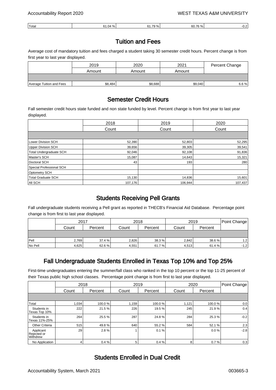| 'Total | 70<br>. | 70<br>,,,, | $\sim$<br>70<br>טרי. | ، |
|--------|---------|------------|----------------------|---|
|        |         |            |                      |   |

#### Tuition and Fees

Average cost of mandatory tuition and fees charged a student taking 30 semester credit hours. Percent change is from first year to last year displayed.

|                          | 2019    | 2020    | 2021    | Percent Change |
|--------------------------|---------|---------|---------|----------------|
|                          | Amount  | Amount  | Amount  |                |
|                          |         |         |         |                |
| Average Tuition and Fees | \$8,484 | \$8,688 | \$9,040 | 6.6%           |

#### Semester Credit Hours

Fall semester credit hours state funded and non state funded by level. Percent change is from first year to last year displayed.

|                           | 2018    | 2019    | 2020    |
|---------------------------|---------|---------|---------|
|                           | Count   | Count   | Count   |
|                           |         |         |         |
| <b>Lower Division SCH</b> | 52,390  | 52,803  | 52,295  |
| <b>Upper Division SCH</b> | 39,656  | 39,305  | 39,541  |
| Total Undergraduate SCH   | 92,046  | 92,108  | 91,836  |
| Master's SCH              | 15,087  | 14,643  | 15,321  |
| Doctoral SCH              | 43      | 193     | 280     |
| Special Professional SCH  |         |         |         |
| <b>Optometry SCH</b>      |         |         |         |
| <b>Total Graduate SCH</b> | 15,130  | 14,836  | 15,601  |
| <b>AII SCH</b>            | 107,176 | 106.944 | 107,437 |

#### Students Receiving Pell Grants

Fall undergraduate students receiving a Pell grant as reported in THECB's Financial Aid Database. Percentage point change is from first to last year displayed.

|         | 2017  |         | 2018  |         | 2019  | Point Change |        |
|---------|-------|---------|-------|---------|-------|--------------|--------|
|         | Count | Percent | Count | Percent | Count | Percent      |        |
|         |       |         |       |         |       |              |        |
| Pell    | 2.769 | 37.4%   | 2,826 | 38.3%   | 2,842 | 38.6 %       | 1.2    |
| No Pell | 4,625 | 62.6 %  | 4,551 | 61.7 %  | 4,513 | 61.4 %       | $-1.2$ |

#### Fall Undergraduate Students Enrolled in Texas Top 10% and Top 25%

First-time undergraduates entering the summer/fall class who ranked in the top 10 percent or the top 11-25 percent of their Texas public high school classes. Percentage point change is from first to last year displayed.

|                                      |                 | 2018    |       | 2019    |       | 2020     | Point Change |
|--------------------------------------|-----------------|---------|-------|---------|-------|----------|--------------|
|                                      | Count           | Percent | Count | Percent | Count | Percent  |              |
|                                      |                 |         |       |         |       |          |              |
| Total                                | 1,034           | 100.0%  | 1,159 | 100.0%  | 1,121 | 100.0%   | 0.0          |
| Students in<br>Texas Top 10%         | 222             | 21.5%   | 226   | 19.5%   | 245   | 21.9%    | 0.4          |
| Students in<br>Texas 11%-25%         | 264             | 25.5%   | 287   | 24.8%   | 284   | 25.3%    | $-0.2$       |
| <b>Other Criteria</b>                | 515             | 49.8%   | 640   | 55.2%   | 584   | 52.1 %   | 2.3          |
| Applicant<br>Rejected or<br>Withdrew | 29              | 2.8%    |       | 0.1%    |       | $0.0 \%$ | $-2.8$       |
| No Application                       | $\vert 4 \vert$ | 0.4%    | 5     | 0.4%    | 8     | 0.7%     | 0.3          |

#### Students Enrolled in Dual Credit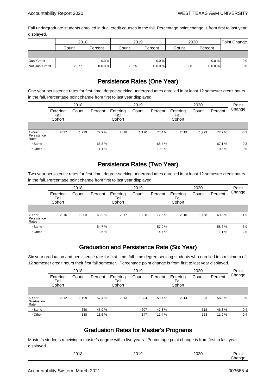Fall undergraduate students enrolled in dual credit courses in the fall. Percentage point change is from first to last year displayed.

|                 | 2018  |         |       | 2019     | 2020  | Point Change |         |  |  |
|-----------------|-------|---------|-------|----------|-------|--------------|---------|--|--|
|                 | Count | Percent | Count | Percent  | Count | Percent      |         |  |  |
|                 |       |         |       |          |       |              |         |  |  |
| Dual Credit     |       | 0.0%    |       | $0.0 \%$ |       | $0.0 \%$     | 0.0     |  |  |
| Not Dual Credit | 7,377 | 100.0%  | 7,355 | 100.0%   | 7,338 | 100.0%       | $0.0\,$ |  |  |

## Persistence Rates (One Year)

One year persistence rates for first-time, degree-seeking undergraduates enrolled in at least 12 semester credit hours in the fall. Percentage point change from first to last year displayed.

|                                |                            | 2018  |         |                            | 2019  |         |                            | 2020  |         | Point  |
|--------------------------------|----------------------------|-------|---------|----------------------------|-------|---------|----------------------------|-------|---------|--------|
|                                | Entering<br>Fall<br>Cohort | Count | Percent | Entering<br>Fall<br>Cohort | Count | Percent | Entering<br>Fall<br>Cohort | Count | Percent | Change |
|                                |                            |       |         |                            |       |         |                            |       |         |        |
| 1-Year<br>Persistence<br>Rates | 2017                       | 1.229 | 77.9 %  | 2018                       | 1,170 | 78.4 %  | 2019                       | 1.299 | 77.7%   | $-0.2$ |
| * Same                         |                            |       | 66.8%   |                            |       | 68.4%   |                            |       | 67.1 %  | 0.3    |
| * Other                        |                            |       | 11.1 %  |                            |       | 10.0%   |                            |       | 10.5%   | $-0.6$ |

#### Persistence Rates (Two Year)

Two year persistence rates for first-time, degree-seeking undergraduates enrolled in at least 12 semester credit hours in the fall. Percentage point change from first to last year displayed.

|                                |                            | 2018  |         |                            | 2019  |         |                            | 2020  |         | Point  |
|--------------------------------|----------------------------|-------|---------|----------------------------|-------|---------|----------------------------|-------|---------|--------|
|                                | Entering<br>Fall<br>Cohort | Count | Percent | Entering<br>Fall<br>Cohort | Count | Percent | Entering<br>Fall<br>Cohort | Count | Percent | Change |
|                                |                            |       |         |                            |       |         |                            |       |         |        |
| 2-Year<br>Persistence<br>Rates | 2016                       | 1,303 | 68.3%   | 2017                       | 1,228 | 72.6%   | 2018                       | 1,168 | 69.8%   | 1.5    |
| * Same                         |                            |       | 54.7%   |                            |       | 57.9%   |                            |       | 58.6%   | 3.9    |
| * Other                        |                            |       | 13.6%   |                            |       | 14.7%   |                            |       | 11.1%   | $-2.5$ |

#### Graduation and Persistence Rate (Six Year)

Six year graduation and persistence rate for first-time, full-time degree-seeking students who enrolled in a minimum of 12 semester credit hours their first fall semester. Percentage point change is from first to last year displayed.

|                              |                            | 2018  |         |                            | 2019  |         |                            | 2020  |         | Point  |
|------------------------------|----------------------------|-------|---------|----------------------------|-------|---------|----------------------------|-------|---------|--------|
|                              | Entering<br>Fall<br>Cohort | Count | Percent | Entering<br>Fall<br>Cohort | Count | Percent | Entering<br>Fall<br>Cohort | Count | Percent | Change |
|                              |                            |       |         |                            |       |         |                            |       |         |        |
| 6-Year<br>Graduation<br>Rate | 2012                       | 1,199 | 57.4 %  | 2013                       | 1.284 | 58.7%   | 2014                       | 1.323 | 58.3%   | 0.9    |
| * Same                       |                            | 550   | 45.9%   |                            | 607   | 47.3%   |                            | 613   | 46.3%   | 0.4    |
| * Other                      |                            | 138   | 11.5 %  |                            | 147   | 11.4 %  |                            | 158   | 11.9%   | 0.4    |

#### Graduation Rates for Master's Programs

Master's students receiving a master's degree within five years. Percentage point change is from first to last year displayed.

| ____ | - -<br>____ | ____ |  |
|------|-------------|------|--|
|      |             |      |  |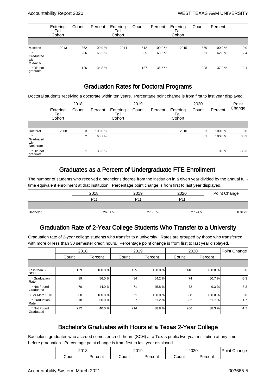|                               | Entering<br>Fall<br>Cohort | Count | Percent | Entering<br>Fall<br>Cohort | Count | Percent | Entering<br>Fall<br>Cohort | Count | Percent |        |
|-------------------------------|----------------------------|-------|---------|----------------------------|-------|---------|----------------------------|-------|---------|--------|
|                               |                            |       |         |                            |       |         |                            |       |         |        |
| Master's                      | 2013                       | 362   | 100.0%  | 2014                       | 512   | 100.0%  | 2015                       | 559   | 100.0 % | 0.0    |
| Graduated<br>with<br>Master's |                            | 236   | 65.2%   |                            | 325   | 63.5%   |                            | 351   | 62.8%   | $-2.4$ |
| * Did not<br>graduate         |                            | 126   | 34.8%   |                            | 187   | 36.5%   |                            | 208   | 37.2 %  | 2.4    |

#### Graduation Rates for Doctoral Programs

Doctoral students receiving a doctorate within ten years. Percentage point change is from first to last year displayed.

|                                  |                            | 2018           |         |                            | 2019  |         |                            | 2020  |         | Point   |
|----------------------------------|----------------------------|----------------|---------|----------------------------|-------|---------|----------------------------|-------|---------|---------|
|                                  | Entering<br>Fall<br>Cohort | Count          | Percent | Entering<br>Fall<br>Cohort | Count | Percent | Entering<br>Fall<br>Cohort | Count | Percent | Change  |
|                                  |                            |                |         |                            |       |         |                            |       |         |         |
| Doctoral                         | 2008                       | 3 <sub>l</sub> | 100.0 % |                            |       |         | 2010                       |       | 100.0 % | 0.0     |
| Graduated<br>l with<br>Doctorate |                            | 2              | 66.7 %  |                            |       |         |                            |       | 100.0%  | 33.3    |
| * Did not<br>graduate            |                            |                | 33.3 %  |                            |       |         |                            |       | 0.0%    | $-33.3$ |

#### Graduates as a Percent of Undergraduate FTE Enrollment

The number of students who received a bachelor's degree from the institution in a given year divided by the annual fulltime equivalent enrollment at that institution. Percentage point change is from first to last year displayed.

|          | 2018   | 2019    | 2020    | Point Change |
|----------|--------|---------|---------|--------------|
|          | Pct    | Pct     | Pct     |              |
|          |        |         |         |              |
| Bachelor | 26.01% | 27.90 % | 27.74 % | 0.0173       |

#### Graduation Rate of 2-Year College Students Who Transfer to a University

Graduation rate of 2-year college students who transfer to a university. Rates are grouped by those who transferred with more or less than 30 semester credit hours. Percentage point change is from first to last year displayed.

|                            | 2018  |         | 2019  |         |       | 2020    | Point Change |
|----------------------------|-------|---------|-------|---------|-------|---------|--------------|
|                            | Count | Percent | Count | Percent | Count | Percent |              |
|                            |       |         |       |         |       |         |              |
| Less than 30<br><b>SCH</b> | 159   | 100.0%  | 155   | 100.0%  | 146   | 100.0%  | 0.0          |
| * Graduation<br>Rate       | 89    | 56.0%   | 84    | 54.2%   | 74    | 50.7%   | $-5.3$       |
| * Not Found<br>Graduated   | 70    | 44.0%   | 71    | 45.8%   | 72    | 49.3%   | 5.3          |
| 30 or More SCH             | 530   | 100.0%  | 551   | 100.0%  | 538   | 100.0%  | 0.0          |
| * Graduation<br>Rate       | 318   | 60.0%   | 337   | 61.2%   | 332   | 61.7%   | 1.7          |
| * Not Found<br>Graduated   | 212   | 40.0%   | 214   | 38.8%   | 206   | 38.3%   | $-1.7$       |

#### Bachelor's Graduates with Hours at a Texas 2-Year College

Bachelor's graduates who accrued semester credit hours (SCH) at a Texas public two-year institution at any time before graduation. Percentage point change is from first to last year displayed.

| 2018  |                  | ว∩1 ∩<br>∠∪∵ |         | 2020  | ' Point<br>Change |  |
|-------|------------------|--------------|---------|-------|-------------------|--|
| ;ount | _<br>rcent<br>F1 | 'Count       | Percent | Count | _<br>'ercent      |  |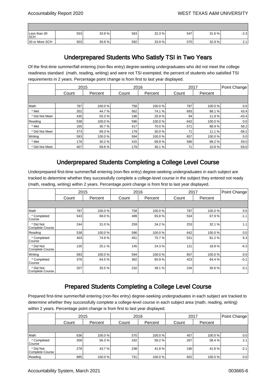| Less than 30<br><b>SCH</b> | 553 | 33.9% | 563 | 32.3% | 547 | 31.6% | $-2.3$   |
|----------------------------|-----|-------|-----|-------|-----|-------|----------|
| 30 or More SCH             | 503 | 30.8% | 592 | 33.9% | 570 | 32.9% | <u>.</u> |

#### Underprepared Students Who Satisfy TSI in Two Years

Of the first-time summer/fall entering (non-flex entry) degree-seeking undergraduates who did not meet the college readiness standard (math, reading, writing) and were not TSI exempted, the percent of students who satisfied TSI requirements in 2 years. Percentage point change is from first to last year displayed.

|                | 2015  |         |       | 2016    |       | 2017    | Point Change |
|----------------|-------|---------|-------|---------|-------|---------|--------------|
|                | Count | Percent | Count | Percent | Count | Percent |              |
|                |       |         |       |         |       |         |              |
| Math           | 787   | 100.0%  | 758   | 100.0%  | 787   | 100.0%  | 0.0          |
| * Met          | 352   | 44.7%   | 562   | 74.1 %  | 693   | 88.1%   | 43.4         |
| * Did Not Meet | 435   | 55.3%   | 196   | 25.9%   | 94    | 11.9%   | $-43.4$      |
| Reading        | 538   | 100.0%  | 596   | 100.0%  | 642   | 100.0%  | 0.0          |
| * Met          | 165   | 30.7%   | 417   | 70.0%   | 571   | 88.9%   | 58.2         |
| * Did Not Meet | 373   | 69.3%   | 179   | 30.0%   | 71    | 11.1 %  | $-58.2$      |
| Writing        | 583   | 100.0%  | 594   | 100.0%  | 657   | 100.0%  | 0.0          |
| * Met          | 176   | 30.2%   | 415   | 69.9%   | 586   | 89.2%   | 59.0         |
| * Did Not Meet | 407   | 69.8%   | 179   | 30.1 %  | 71    | 10.8%   | $-59.0$      |

#### Underprepared Students Completing a College Level Course

Underprepared first-time summer/fall entering (non-flex entry) degree-seeking undergraduates in each subject are tracked to determine whether they successfully complete a college-level course in the subject they entered not ready (math, reading, writing) within 2 years. Percentage point change is from first to last year displayed.

|                                     | 2015  |         |       | 2016    | 2017  |         | Point Change |
|-------------------------------------|-------|---------|-------|---------|-------|---------|--------------|
|                                     | Count | Percent | Count | Percent | Count | Percent |              |
|                                     |       |         |       |         |       |         |              |
| Math                                | 787   | 100.0%  | 758   | 100.0%  | 787   | 100.0%  | 0.0          |
| * Completed<br>Course               | 543   | 69.0%   | 499   | 65.8%   | 534   | 67.9%   | $-1.1$       |
| * Did Not<br><b>Complete Course</b> | 244   | 31.0%   | 259   | 34.2%   | 253   | 32.1 %  | 1.1          |
| Reading                             | 538   | 100.0%  | 596   | 100.0%  | 642   | 100.0%  | 0.0          |
| * Completed<br>Course               | 403   | 74.9%   | 451   | 75.7%   | 521   | 81.2%   | 6.3          |
| * Did Not<br><b>Complete Course</b> | 135   | 25.1%   | 145   | 24.3%   | 121   | 18.8%   | $-6.3$       |
| Writing                             | 583   | 100.0%  | 594   | 100.0%  | 657   | 100.0%  | 0.0          |
| * Completed<br>Course               | 376   | 64.5%   | 362   | 60.9%   | 423   | 64.4 %  | $-0.1$       |
| * Did Not<br><b>Complete Course</b> | 207   | 35.5%   | 232   | 39.1 %  | 234   | 35.6%   | 0.1          |

#### Prepared Students Completing a College Level Course

Prepared first-time summer/fall entering (non-flex entry) degree-seeking undergraduates in each subject are tracked to determine whether they successfully complete a college-level course in each subject area (math, reading, writing) within 2 years. Percentage point change is from first to last year displayed.

|                              | 2015  |         |       | 2016    | 2017  |         | Point Change |
|------------------------------|-------|---------|-------|---------|-------|---------|--------------|
|                              | Count | Percent | Count | Percent | Count | Percent |              |
|                              |       |         |       |         |       |         |              |
| Math                         | 636   | 100.0%  | 570   | 100.0%  | 457   | 100.0 % | 0.0          |
| * Completed<br>Course        | 358   | 56.3%   | 332   | 58.2%   | 267   | 58.4 %  | 2.1          |
| * Did Not<br>Complete Course | 278   | 43.7%   | 238   | 41.8%   | 190   | 41.6 %  | $-2.1$       |
| Reading                      | 885   | 100.0%  | 731   | 100.0%  | 602   | 100.0 % | 0.0          |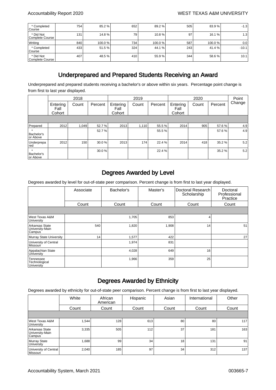| * Completed<br>l Course      | 754 | 85.2%  | 652 | 89.2%  | 505 | 83.9 %  | $-1.3$  |
|------------------------------|-----|--------|-----|--------|-----|---------|---------|
| * Did Not<br>Complete Course | 131 | 14.8%  | 79  | 10.8%  | 97  | 16.1 %  | 1.3     |
| Writing                      | 840 | 100.0% | 734 | 100.0% | 587 | 100.0 % | 0.0     |
| * Completed<br>l Course      | 433 | 51.5 % | 324 | 44.1 % | 243 | 41.4 %  | $-10.1$ |
| * Did Not<br>Complete Course | 407 | 48.5%  | 410 | 55.9%  | 344 | 58.6 %  | 10.1    |

#### Underprepared and Prepared Students Receiving an Award

Underprepared and prepared students receiving a bachelor's or above within six years. Percentage point change is from first to last year displayed.

|                        |                            | 2018  |         |                            | 2019  |         |                            | 2020  |         | Point  |
|------------------------|----------------------------|-------|---------|----------------------------|-------|---------|----------------------------|-------|---------|--------|
|                        | Entering<br>Fall<br>Cohort | Count | Percent | Entering<br>Fall<br>Cohort | Count | Percent | Entering<br>Fall<br>Cohort | Count | Percent | Change |
|                        |                            |       |         |                            |       |         |                            |       |         |        |
| Prepared               | 2012                       | 1,049 | 52.7%   | 2013                       | 1,110 | 55.5%   | 2014                       | 905   | 57.6 %  | 4.9    |
| Bachelor's<br>or Above |                            |       | 52.7%   |                            |       | 55.5%   |                            |       | 57.6%   | 4.9    |
| Underprepa<br>red      | 2012                       | 150   | 30.0%   | 2013                       | 174   | 22.4 %  | 2014                       | 418   | 35.2%   | 5.2    |
| Bachelor's<br>or Above |                            |       | 30.0%   |                            |       | 22.4 %  |                            |       | 35.2%   | 5.2    |

#### Degrees Awarded by Level

Degrees awarded by level for out-of-state peer comparison. Percent change is from first to last year displayed.

|                                             | Associate       | Bachelor's | Master's | Doctoral Research<br>Scholarship | Doctoral<br>Professional<br>Practice |
|---------------------------------------------|-----------------|------------|----------|----------------------------------|--------------------------------------|
|                                             | Count           | Count      | Count    | Count                            | Count                                |
|                                             |                 |            |          |                                  |                                      |
| West Texas A&M<br>University                |                 | 1,705      | 853      | 4                                |                                      |
| Arkansas State<br>University-Main<br>Campus | 540             | 1,820      | 1,908    | 14                               | 51                                   |
| Murray State University                     | 14 <sub>1</sub> | 1,577      | 422      |                                  | 27                                   |
| University of Central<br>Missouri           |                 | 1,974      | 831      |                                  |                                      |
| Appalachian State<br>University             |                 | 4,028      | 649      | 16                               |                                      |
| Tennessee<br>Technological<br>University    |                 | 1,966      | 359      | 25                               |                                      |

#### Degrees Awarded by Ethnicity

Degrees awarded by ethnicity for out-of-state peer comparison. Percent change is from first to last year displayed.

|                                             | White | African<br>American | Hispanic | Asian | International | Other |
|---------------------------------------------|-------|---------------------|----------|-------|---------------|-------|
|                                             | Count | Count               | Count    | Count | Count         | Count |
|                                             |       |                     |          |       |               |       |
| West Texas A&M<br>University                | 1,544 | 128                 | 613      | 80    | 80            | 117   |
| Arkansas State<br>University-Main<br>Campus | 3,335 | 505                 | 112      | 37    | 181           | 163   |
| Murray State<br>University                  | 1,688 | 99                  | 34       | 18    | 131           | 91    |
| University of Central<br><b>Missouri</b>    | 2,040 | 185                 | 97       | 34    | 312           | 137   |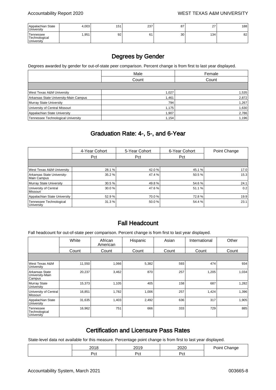| Appalachian State<br><b>University</b>   | 4,003 | 151 | 237 | 87 | $\sim$<br><u>.</u> | 188 |
|------------------------------------------|-------|-----|-----|----|--------------------|-----|
| Tennessee<br>Technological<br>University | .951  | 92  | 61  | 30 | 134                | 82  |

#### Degrees by Gender

Degrees awarded by gender for out-of-state peer comparison. Percent change is from first to last year displayed.

|                                       | Male  | Female |
|---------------------------------------|-------|--------|
|                                       | Count | Count  |
|                                       |       |        |
| West Texas A&M University             | 1,027 | 1,535  |
| Arkansas State University-Main Campus | 1,461 | 2,872  |
| Murray State University               | 794   | 1,267  |
| University of Central Missouri        | 1,175 | 1,630  |
| Appalachian State University          | 1,907 | 2,786  |
| Tennessee Technological University    | 1,154 | 1,196  |

#### Graduation Rate: 4-, 5-, and 6-Year

|                                           | 4-Year Cohort | 5-Year Cohort | 6-Year Cohort | Point Change |
|-------------------------------------------|---------------|---------------|---------------|--------------|
|                                           | Pct           | Pct           | Pct           |              |
|                                           |               |               |               |              |
| West Texas A&M University                 | 28.1%         | 42.0 %        | 45.1 %        | 17.0         |
| Arkansas State University-<br>Main Campus | 35.2%         | 47.4 %        | 50.5%         | 15.3         |
| Murray State University                   | 30.5%         | 49.8 %        | 54.6 %        | 24.1         |
| University of Central<br>Missouri         | 30.0%         | 47.6 %        | 51.1 %        | 0.2          |
| Appalachian State University              | 52.9%         | 70.0 %        | 72.8%         | 19.9         |
| Tennessee Technological<br>University     | 31.3%         | 50.0 %        | 54.4 %        | 23.1         |

#### Fall Headcount

Fall headcount for out-of-state peer comparison. Percent change is from first to last year displayed.

|                                             | White  | African<br>American | Hispanic | Asian | International | Other |
|---------------------------------------------|--------|---------------------|----------|-------|---------------|-------|
|                                             | Count  | Count               | Count    | Count | Count         | Count |
|                                             |        |                     |          |       |               |       |
| West Texas A&M<br>University                | 11,550 | 1,066               | 5,382    | 593   | 474           | 934   |
| Arkansas State<br>University-Main<br>Campus | 20,237 | 3,462               | 870      | 257   | 1,205         | 1,034 |
| Murray State<br>University                  | 15,373 | 1,105               | 405      | 158   | 687           | 1,282 |
| University of Central<br>Missouri           | 16,851 | 1,782               | 1,006    | 257   | 1,424         | 1,396 |
| Appalachian State<br>University             | 31,635 | 1,403               | 2,492    | 636   | 317           | 1,905 |
| Tennessee<br>Technological<br>University    | 16,962 | 751                 | 666      | 333   | 729           | 885   |

#### Certification and Licensure Pass Rates

State-level data not available for this measure. Percentage point change is from first to last year displayed.

| nn 1 c<br>. .<br>້⊔ | 0010                                    | חממפ<br>$-50$ | $ -$<br>זוונ |
|---------------------|-----------------------------------------|---------------|--------------|
| -<br>محرد<br>ື      | -<br>$\overline{\phantom{a}}$<br>້<br>. | י∼י<br>ັບເ    |              |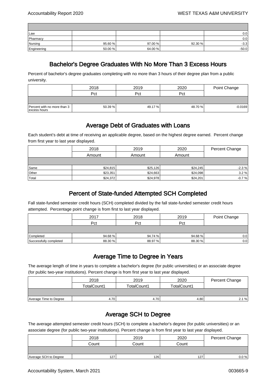| Law         |         |         |         | 0.0     |
|-------------|---------|---------|---------|---------|
| Pharmacy    |         |         |         | 0.0     |
| Nursing     | 95.60 % | 97.00 % | 92.30 % | $-3.3$  |
| Engineering | 50.00 % | 64.00 % |         | $-50.0$ |

#### Bachelor's Degree Graduates With No More Than 3 Excess Hours

Percent of bachelor's degree graduates completing with no more than 3 hours of their degree plan from a public university.

|                                             | 2018    | 2019    | 2020    | Point Change |
|---------------------------------------------|---------|---------|---------|--------------|
|                                             | Pct     | Pct     | Pct     |              |
|                                             |         |         |         |              |
| Percent with no more than 3<br>excess hours | 50.39 % | 49.17 % | 48.70 % | $-0.0169$    |

#### Average Debt of Graduates with Loans

Each student's debt at time of receiving an applicable degree, based on the highest degree earned. Percent change from first year to last year displayed.

|       | 2018     | 2019     | 2020     | Percent Change |
|-------|----------|----------|----------|----------------|
|       | Amount   | Amount   | Amount   |                |
|       |          |          |          |                |
| Same  | \$24,815 | \$25,126 | \$24,245 | $-2.3%$        |
| Other | \$23,351 | \$24,663 | \$24,098 | 3.2%           |
| Total | \$24,372 | \$24,978 | \$24,201 | $-0.7%$        |

#### Percent of State-funded Attempted SCH Completed

Fall state-funded semester credit hours (SCH) completed divided by the fall state-funded semester credit hours attempted. Percentage point change is from first to last year displayed.

|                        | 2017    | 2018    | 2019    | Point Change |
|------------------------|---------|---------|---------|--------------|
|                        | Pct     | Pct     | Pct     |              |
|                        |         |         |         |              |
| Completed              | 94.68%  | 94.74 % | 94.68 % | 0.01         |
| Successfully completed | 88.30 % | 88.97%  | 88.30 % | 0.0          |

#### Average Time to Degree in Years

The average length of time in years to complete a bachelor's degree (for public universities) or an associate degree (for public two-year institutions). Percent change is from first year to last year displayed.

|                        | 2018        | 2019        | 2020        | Percent Change |
|------------------------|-------------|-------------|-------------|----------------|
|                        | TotalCount1 | TotalCount1 | TotalCount1 |                |
|                        |             |             |             |                |
| Average Time to Degree | 4.70        | 4.70        | 4.80        | 2.1%           |

#### Average SCH to Degree

The average attempted semester credit hours (SCH) to complete a bachelor's degree (for public universities) or an associate degree (for public two-year institutions). Percent change is from first year to last year displayed.

|                       | 2018  | 2019  | 2020  | Percent Change |
|-----------------------|-------|-------|-------|----------------|
|                       | Count | Count | Count |                |
|                       |       |       |       |                |
| Average SCH to Degree | 127   | 126   | 127   | 0.0 %          |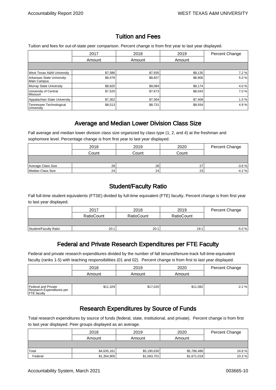#### Tuition and Fees

Tuition and fees for out-of-state peer comparison. Percent change is from first year to last year displayed.

|                                           | 2017    | 2018    | 2019    | <b>Percent Change</b> |
|-------------------------------------------|---------|---------|---------|-----------------------|
|                                           | Amount  | Amount  | Amount  |                       |
|                                           |         |         |         |                       |
| <b>West Texas A&amp;M University</b>      | \$7,586 | \$7.935 | \$8,135 | 7.2%                  |
| Arkansas State University-<br>Main Campus | \$8,478 | \$8,607 | \$8,900 | 5.0%                  |
| Murray State University                   | \$8,820 | \$9.084 | \$9,174 | 4.0%                  |
| University of Central<br><i>Missouri</i>  | \$7,520 | \$7,673 | \$8,043 | 7.0%                  |
| Appalachian State University              | \$7,302 | \$7,364 | \$7,409 | 1.5%                  |
| Tennessee Technological<br>University     | \$8,513 | \$8,731 | \$8,934 | 4.9%                  |

#### Average and Median Lower Division Class Size

Fall average and median lower division class size organized by class type (1, 2, and 4) at the freshman and sophomore level. Percentage change is from first year to last year displayed.

|                    | 2018  | 2019  | 2020  | Percent Change |
|--------------------|-------|-------|-------|----------------|
|                    | Count | Count | Count |                |
|                    |       |       |       |                |
| Average Class Size | 28    | 28    | 27    | $-3.6%$        |
| Median Class Size  | 24    | 24    | 23    | $-4.2%$        |

#### Student/Faculty Ratio

Fall full-time student equivalents (FTSE) divided by full-time equivalent (FTE) faculty. Percent change is from first year to last year displayed.

|                       | 2017              | 2018              | 2019              | Percent Change |
|-----------------------|-------------------|-------------------|-------------------|----------------|
|                       | <b>RatioCount</b> | <b>RatioCount</b> | <b>RatioCount</b> |                |
|                       |                   |                   |                   |                |
| Student/Faculty Ratio | 20:1              | 20:1              | 19:1              | $-5.0%$        |

#### Federal and Private Research Expenditures per FTE Faculty

Federal and private research expenditures divided by the number of fall tenured/tenure-track full-time-equivalent faculty (ranks 1-5) with teaching responsibilities (01 and 02). Percent change is from first to last year displayed.

|                                                                        | 2018     | 2019     | 2020     | Percent Change |
|------------------------------------------------------------------------|----------|----------|----------|----------------|
|                                                                        | Amount   | Amount   | Amount   |                |
|                                                                        |          |          |          |                |
| Federal and Private<br>Research Expenditures per<br><b>FTE</b> faculty | \$11,329 | \$17,020 | \$11,082 | $-2.2%$        |

#### Research Expenditures by Source of Funds

Total research expenditures by source of funds (federal, state, institutional, and private). Percent change is from first to last year displayed. Peer groups displayed as an average.

|         | 2018        | 2019        | 2020        | Percent Change |
|---------|-------------|-------------|-------------|----------------|
|         | Amount      | Amount      | Amount      |                |
|         |             |             |             |                |
| Total   | \$4,635,161 | \$5,190,630 | \$5,786,486 | 24.8%          |
| Federal | \$1,354,905 | \$1,583,701 | \$1,671,019 | 23.3%          |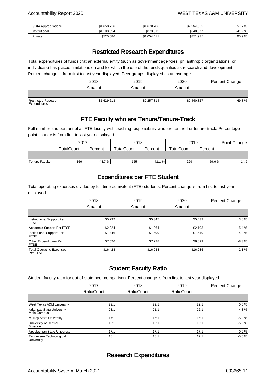| <b>State Appropriations</b> | 1.650.716<br>ሖ | \$1.678.706 | \$2.594.855 | 57.2 %         |
|-----------------------------|----------------|-------------|-------------|----------------|
| Institutional               | \$1.103.854    | \$873,812   | \$648.677   | $2\%$<br>∠.41- |
| Private                     | \$525,686      | \$1,054,411 | \$871,935   | 65.9%          |

#### Restricted Research Expenditures

Total expenditures of funds that an external entity (such as government agencies, philanthropic organizations, or individuals) has placed limitations on and for which the use of the funds qualifies as research and development. Percent change is from first to last year displayed. Peer groups displayed as an average.

|                                     | 2018        | 2019        | 2020        | Percent Change |
|-------------------------------------|-------------|-------------|-------------|----------------|
|                                     | Amount      | Amount      | Amount      |                |
|                                     |             |             |             |                |
| Restricted Research<br>Expenditures | \$1,629,613 | \$2,257,814 | \$2,440,827 | 49.8%          |

#### FTE Faculty who are Tenure/Tenure-Track

Fall number and percent of all FTE faculty with teaching responsibility who are tenured or tenure-track. Percentage point change is from first to last year displayed.

|                       | 2017              |         | 2018              |         | 2019              |         | Point Change |
|-----------------------|-------------------|---------|-------------------|---------|-------------------|---------|--------------|
|                       | <b>TotalCount</b> | Percent | <b>TotalCount</b> | Percent | <b>TotalCount</b> | Percent |              |
|                       |                   |         |                   |         |                   |         |              |
| <b>Tenure Faculty</b> | 166               | 44.7%   | 155               | 41.1 %  | 229               | 59.6 %  | 14.9         |

#### Expenditures per FTE Student

Total operating expenses divided by full-time equivalent (FTE) students. Percent change is from first to last year displayed.

|                                                    | 2018     | 2019     | 2020     | Percent Change |
|----------------------------------------------------|----------|----------|----------|----------------|
|                                                    | Amount   | Amount   | Amount   |                |
|                                                    |          |          |          |                |
| Instructional Support Per<br><b>IFTSE</b>          | \$5,232  | \$5,347  | \$5,433  | 3.8%           |
| Academic Support Per FTSE                          | \$2,224  | \$1,864  | \$2,103  | $-5.4%$        |
| Institutional Support Per<br><b>IFTSE</b>          | \$1,446  | \$1,599  | \$1,649  | 14.0 %         |
| <b>Other Expenditures Per</b><br><b>IFTSE</b>      | \$7,526  | \$7,228  | \$6,899  | $-8.3%$        |
| <b>Total Operating Expenses</b><br><b>Per FTSE</b> | \$16,428 | \$16,038 | \$16,085 | $-2.1%$        |

#### Student Faculty Ratio

Student faculty ratio for out-of-state peer comparison. Percent change is from first to last year displayed.

|                                           | 2017              | 2018              | 2019              | Percent Change |
|-------------------------------------------|-------------------|-------------------|-------------------|----------------|
|                                           | <b>RatioCount</b> | <b>RatioCount</b> | <b>RatioCount</b> |                |
|                                           |                   |                   |                   |                |
| <b>West Texas A&amp;M University</b>      | 22:1              | 22:7              | 22:1              | 0.0%           |
| Arkansas State University-<br>Main Campus | 23:1              | 21:1              | 22:1              | $-4.3%$        |
| Murray State University                   | 17:1              | 16:1              | 16:1              | $-5.9%$        |
| University of Central<br><i>Missouri</i>  | 19:1              | 18:1              | 18:1              | $-5.3%$        |
| Appalachian State University              | 17:1              | 17:1              | 17:1              | 0.0%           |
| Tennessee Technological<br>University     | 18:1              | 18:1              | 17:1              | $-5.6%$        |

#### Research Expenditures